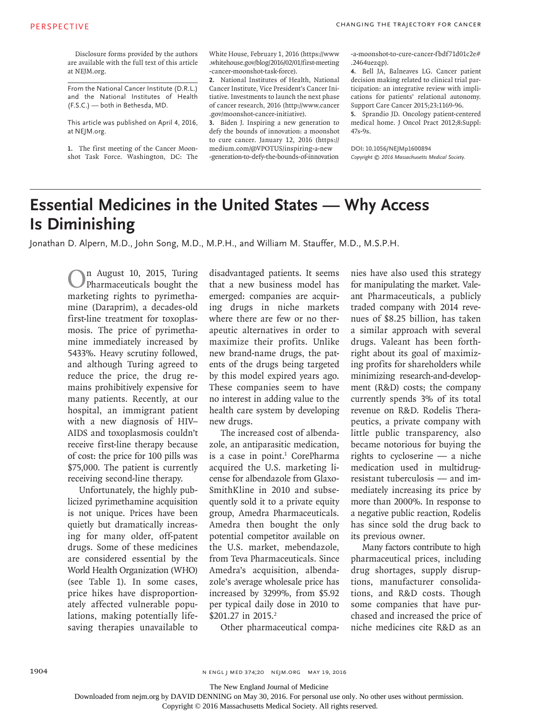Disclosure forms provided by the authors are available with the full text of this article at NEJM.org.

From the National Cancer Institute (D.R.L.) and the National Institutes of Health (F.S.C.) — both in Bethesda, MD.

This article was published on April 4, 2016, at NEJM.org.

**1.** The first meeting of the Cancer Moonshot Task Force. Washington, DC: The White House, February 1, 2016 (https://www .whitehouse.gov/blog/2016/02/01/first-meeting -cancer-moonshot-task-force).

**2.** National Institutes of Health, National Cancer Institute, Vice President's Cancer Initiative. Investments to launch the next phase of cancer research, 2016 (http://www.cancer .gov/moonshot-cancer-initiative).

**3.** Biden J. Inspiring a new generation to defy the bounds of innovation: a moonshot to cure cancer. January 12, 2016 (https:// medium.com/@VPOTUS/inspiring-a-new -generation-to-defy-the-bounds-of-innovation -a-moonshot-to-cure-cancer-fbdf71d01c2e# .2464uezqp).

**4.** Bell JA, Balneaves LG. Cancer patient decision making related to clinical trial participation: an integrative review with implications for patients' relational autonomy. Support Care Cancer 2015;23:1169-96.

**5.** Sprandio JD. Oncology patient-centered medical home. J Oncol Pract 2012;8:Suppl: 47s-9s.

**DOI: 10.1056/NEJMp1600894** Copyright  $© 2016 Massachusetts Medical Society.$ 

## **Essential Medicines in the United States — Why Access Is Diminishing**

Jonathan D. Alpern, M.D., John Song, M.D., M.P.H., and William M. Stauffer, M.D., M.S.P.H.

On August 10, 2015, Turing Pharmaceuticals bought the marketing rights to pyrimethamine (Daraprim), a decades-old first-line treatment for toxoplasmosis. The price of pyrimethamine immediately increased by 5433%. Heavy scrutiny followed, and although Turing agreed to reduce the price, the drug remains prohibitively expensive for many patients. Recently, at our hospital, an immigrant patient with a new diagnosis of HIV– AIDS and toxoplasmosis couldn't receive first-line therapy because of cost: the price for 100 pills was \$75,000. The patient is currently receiving second-line therapy.

Unfortunately, the highly publicized pyrimethamine acquisition is not unique. Prices have been quietly but dramatically increasing for many older, off-patent drugs. Some of these medicines are considered essential by the World Health Organization (WHO) (see Table 1). In some cases, price hikes have disproportionately affected vulnerable populations, making potentially lifesaving therapies unavailable to disadvantaged patients. It seems that a new business model has emerged: companies are acquiring drugs in niche markets where there are few or no therapeutic alternatives in order to maximize their profits. Unlike new brand-name drugs, the patents of the drugs being targeted by this model expired years ago. These companies seem to have no interest in adding value to the health care system by developing new drugs.

The increased cost of albendazole, an antiparasitic medication, is a case in point.<sup>1</sup> CorePharma acquired the U.S. marketing license for albendazole from Glaxo-SmithKline in 2010 and subsequently sold it to a private equity group, Amedra Pharmaceuticals. Amedra then bought the only potential competitor available on the U.S. market, mebendazole, from Teva Pharmaceuticals. Since Amedra's acquisition, albendazole's average wholesale price has increased by 3299%, from \$5.92 per typical daily dose in 2010 to \$201.27 in 2015.<sup>2</sup>

Other pharmaceutical compa-

nies have also used this strategy for manipulating the market. Valeant Pharmaceuticals, a publicly traded company with 2014 revenues of \$8.25 billion, has taken a similar approach with several drugs. Valeant has been forthright about its goal of maximizing profits for shareholders while minimizing research-and-development (R&D) costs; the company currently spends 3% of its total revenue on R&D. Rodelis Therapeutics, a private company with little public transparency, also became notorious for buying the rights to cycloserine — a niche medication used in multidrugresistant tuberculosis — and immediately increasing its price by more than 2000%. In response to a negative public reaction, Rodelis has since sold the drug back to its previous owner.

Many factors contribute to high pharmaceutical prices, including drug shortages, supply disruptions, manufacturer consolidations, and R&D costs. Though some companies that have purchased and increased the price of niche medicines cite R&D as an

n engl j med 374;20 nejm.org May 19, 2016

The New England Journal of Medicine

Downloaded from nejm.org by DAVID DENNING on May 30, 2016. For personal use only. No other uses without permission.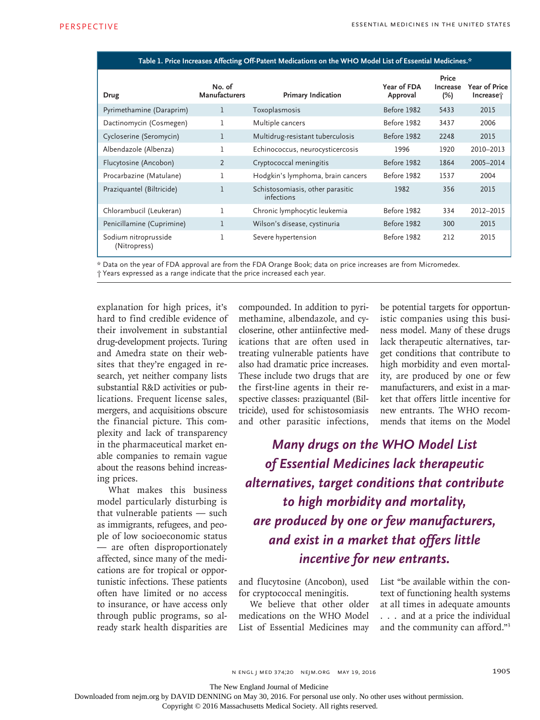| Table 1. Price Increases Affecting Off-Patent Medications on the WHO Model List of Essential Medicines.* |                                |                                                |                         |                             |                                   |  |  |  |
|----------------------------------------------------------------------------------------------------------|--------------------------------|------------------------------------------------|-------------------------|-----------------------------|-----------------------------------|--|--|--|
| Drug                                                                                                     | No. of<br><b>Manufacturers</b> | <b>Primary Indication</b>                      | Year of FDA<br>Approval | Price<br>Increase<br>$(\%)$ | <b>Year of Price</b><br>Increase; |  |  |  |
| Pyrimethamine (Daraprim)                                                                                 | 1                              | Toxoplasmosis                                  | Before 1982             | 5433                        | 2015                              |  |  |  |
| Dactinomycin (Cosmegen)                                                                                  | 1                              | Multiple cancers                               | Before 1982             | 3437                        | 2006                              |  |  |  |
| Cycloserine (Seromycin)                                                                                  | 1                              | Multidrug-resistant tuberculosis               | Before 1982             | 2248                        | 2015                              |  |  |  |
| Albendazole (Albenza)                                                                                    |                                | Echinococcus, neurocysticercosis               | 1996                    | 1920                        | 2010-2013                         |  |  |  |
| Flucytosine (Ancobon)                                                                                    | 2                              | Cryptococcal meningitis                        | Before 1982             | 1864                        | 2005-2014                         |  |  |  |
| Procarbazine (Matulane)                                                                                  | 1                              | Hodgkin's lymphoma, brain cancers              | Before 1982             | 1537                        | 2004                              |  |  |  |
| Praziquantel (Biltricide)                                                                                | 1                              | Schistosomiasis, other parasitic<br>infections | 1982                    | 356                         | 2015                              |  |  |  |
| Chlorambucil (Leukeran)                                                                                  | 1                              | Chronic lymphocytic leukemia                   | Before 1982             | 334                         | 2012-2015                         |  |  |  |
| Penicillamine (Cuprimine)                                                                                | 1                              | Wilson's disease, cystinuria                   | Before 1982             | 300                         | 2015                              |  |  |  |
| Sodium nitroprusside<br>(Nitropress)                                                                     | 1                              | Severe hypertension                            | Before 1982             | 212                         | 2015                              |  |  |  |

\* Data on the year of FDA approval are from the FDA Orange Book; data on price increases are from Micromedex. † Years expressed as a range indicate that the price increased each year.

explanation for high prices, it's hard to find credible evidence of their involvement in substantial drug-development projects. Turing and Amedra state on their websites that they're engaged in research, yet neither company lists substantial R&D activities or publications. Frequent license sales, mergers, and acquisitions obscure the financial picture. This complexity and lack of transparency in the pharmaceutical market enable companies to remain vague about the reasons behind increasing prices.

What makes this business model particularly disturbing is that vulnerable patients — such as immigrants, refugees, and people of low socioeconomic status — are often disproportionately affected, since many of the medications are for tropical or opportunistic infections. These patients often have limited or no access to insurance, or have access only through public programs, so already stark health disparities are compounded. In addition to pyrimethamine, albendazole, and cycloserine, other antiinfective medications that are often used in treating vulnerable patients have also had dramatic price increases. These include two drugs that are the first-line agents in their respective classes: praziquantel (Biltricide), used for schistosomiasis and other parasitic infections,

be potential targets for opportunistic companies using this business model. Many of these drugs lack therapeutic alternatives, target conditions that contribute to high morbidity and even mortality, are produced by one or few manufacturers, and exist in a market that offers little incentive for new entrants. The WHO recommends that items on the Model

*Many drugs on the WHO Model List of Essential Medicines lack therapeutic alternatives, target conditions that contribute to high morbidity and mortality, are produced by one or few manufacturers, and exist in a market that offers little incentive for new entrants.*

and flucytosine (Ancobon), used for cryptococcal meningitis.

We believe that other older medications on the WHO Model List of Essential Medicines may List "be available within the context of functioning health systems at all times in adequate amounts . . . and at a price the individual and the community can afford."3

n engl j med 374;20 nejm.org May 19, 2016

The New England Journal of Medicine

Downloaded from nejm.org by DAVID DENNING on May 30, 2016. For personal use only. No other uses without permission.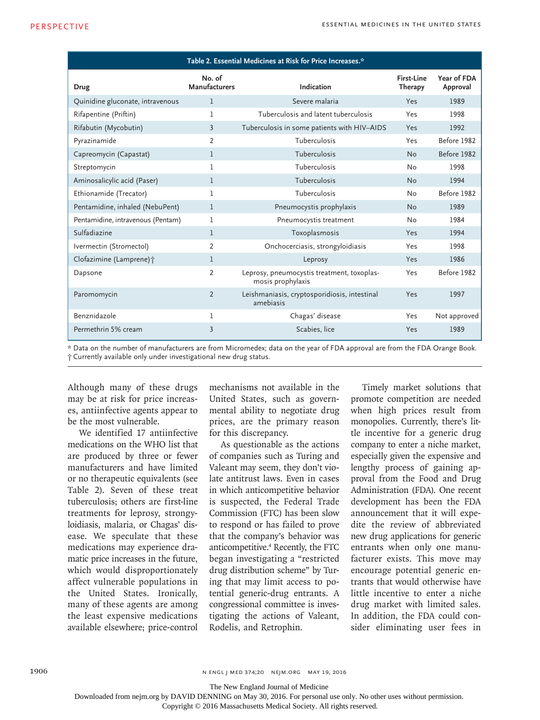| Table 2. Essential Medicines at Risk for Price Increases.* |                                |                                                                 |                       |                         |  |  |  |  |  |
|------------------------------------------------------------|--------------------------------|-----------------------------------------------------------------|-----------------------|-------------------------|--|--|--|--|--|
| Drug                                                       | No. of<br><b>Manufacturers</b> | Indication                                                      | First-Line<br>Therapy | Year of FDA<br>Approval |  |  |  |  |  |
| Quinidine gluconate, intravenous                           | 1                              | Severe malaria                                                  | Yes                   | 1989                    |  |  |  |  |  |
| Rifapentine (Priftin)                                      | 1                              | Tuberculosis and latent tuberculosis                            | Yes                   | 1998                    |  |  |  |  |  |
| Rifabutin (Mycobutin)                                      | $\overline{3}$                 | Tuberculosis in some patients with HIV-AIDS                     | Yes                   | 1992                    |  |  |  |  |  |
| Pyrazinamide                                               | $\overline{2}$                 | Tuberculosis                                                    | Yes                   | Before 1982             |  |  |  |  |  |
| Capreomycin (Capastat)                                     | 1                              | Tuberculosis                                                    | <b>No</b>             | Before 1982             |  |  |  |  |  |
| Streptomycin                                               | 1                              | Tuberculosis                                                    | No                    | 1998                    |  |  |  |  |  |
| Aminosalicylic acid (Paser)                                | 1                              | Tuberculosis                                                    | <b>No</b>             | 1994                    |  |  |  |  |  |
| Ethionamide (Trecator)                                     | 1                              | Tuberculosis                                                    | No                    | Before 1982             |  |  |  |  |  |
| Pentamidine, inhaled (NebuPent)                            | 1                              | Pneumocystis prophylaxis                                        | <b>No</b>             | 1989                    |  |  |  |  |  |
| Pentamidine, intravenous (Pentam)                          | 1                              | Pneumocystis treatment                                          | No                    | 1984                    |  |  |  |  |  |
| Sulfadiazine                                               | 1                              | Toxoplasmosis                                                   | Yes                   | 1994                    |  |  |  |  |  |
| Ivermectin (Stromectol)                                    | $\overline{2}$                 | Onchocerciasis, strongyloidiasis                                | Yes                   | 1998                    |  |  |  |  |  |
| Clofazimine (Lamprene) +                                   | 1                              | Leprosy                                                         | Yes                   | 1986                    |  |  |  |  |  |
| Dapsone                                                    | $\overline{2}$                 | Leprosy, pneumocystis treatment, toxoplas-<br>mosis prophylaxis | Yes                   | Before 1982             |  |  |  |  |  |
| Paromomycin                                                | $\overline{2}$                 | Leishmaniasis, cryptosporidiosis, intestinal<br>amebiasis       | Yes                   | 1997                    |  |  |  |  |  |
| Benznidazole                                               | 1                              | Chagas' disease                                                 | Yes                   | Not approved            |  |  |  |  |  |
| Permethrin 5% cream                                        | 3                              | Scabies, lice                                                   | Yes                   | 1989                    |  |  |  |  |  |

\* Data on the number of manufacturers are from Micromedex; data on the year of FDA approval are from the FDA Orange Book. † Currently available only under investigational new drug status.

Although many of these drugs may be at risk for price increases, antiinfective agents appear to be the most vulnerable.

We identified 17 antiinfective medications on the WHO list that are produced by three or fewer manufacturers and have limited or no therapeutic equivalents (see Table 2). Seven of these treat tuberculosis; others are first-line treatments for leprosy, strongyloidiasis, malaria, or Chagas' disease. We speculate that these medications may experience dramatic price increases in the future, which would disproportionately affect vulnerable populations in the United States. Ironically, many of these agents are among the least expensive medications available elsewhere; price-control

mechanisms not available in the United States, such as governmental ability to negotiate drug prices, are the primary reason for this discrepancy.

As questionable as the actions of companies such as Turing and Valeant may seem, they don't violate antitrust laws. Even in cases in which anticompetitive behavior is suspected, the Federal Trade Commission (FTC) has been slow to respond or has failed to prove that the company's behavior was anticompetitive.4 Recently, the FTC began investigating a "restricted drug distribution scheme" by Turing that may limit access to potential generic-drug entrants. A congressional committee is investigating the actions of Valeant, Rodelis, and Retrophin.

Timely market solutions that promote competition are needed when high prices result from monopolies. Currently, there's little incentive for a generic drug company to enter a niche market, especially given the expensive and lengthy process of gaining approval from the Food and Drug Administration (FDA). One recent development has been the FDA announcement that it will expedite the review of abbreviated new drug applications for generic entrants when only one manufacturer exists. This move may encourage potential generic entrants that would otherwise have little incentive to enter a niche drug market with limited sales. In addition, the FDA could consider eliminating user fees in

n engl j med 374;20 nejm.org May 19, 2016

The New England Journal of Medicine

Downloaded from nejm.org by DAVID DENNING on May 30, 2016. For personal use only. No other uses without permission.